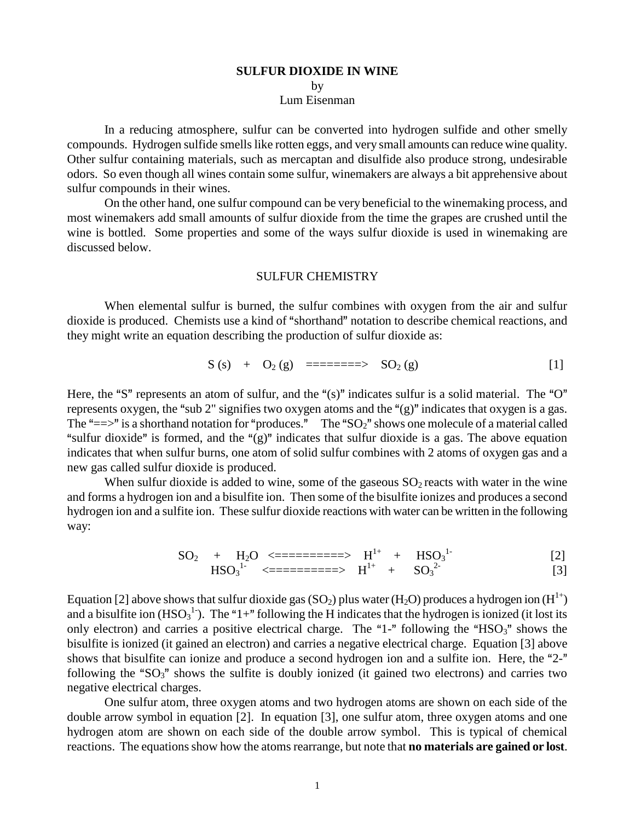# **SULFUR DIOXIDE IN WINE**

by

Lum Eisenman

In a reducing atmosphere, sulfur can be converted into hydrogen sulfide and other smelly compounds. Hydrogen sulfide smells like rotten eggs, and very small amounts can reduce wine quality. Other sulfur containing materials, such as mercaptan and disulfide also produce strong, undesirable odors. So even though all wines contain some sulfur, winemakers are always a bit apprehensive about sulfur compounds in their wines.

On the other hand, one sulfur compound can be very beneficial to the winemaking process, and most winemakers add small amounts of sulfur dioxide from the time the grapes are crushed until the wine is bottled. Some properties and some of the ways sulfur dioxide is used in winemaking are discussed below.

#### SULFUR CHEMISTRY

When elemental sulfur is burned, the sulfur combines with oxygen from the air and sulfur dioxide is produced. Chemists use a kind of "shorthand" notation to describe chemical reactions, and they might write an equation describing the production of sulfur dioxide as:

$$
S(s) + O_2(g) = = = = = = > SO_2(g)
$$
 [1]

Here, the "S" represents an atom of sulfur, and the " $(s)$ " indicates sulfur is a solid material. The "O" represents oxygen, the "sub 2" signifies two oxygen atoms and the " $(g)$ " indicates that oxygen is a gas. The " $=\gt;$ " is a shorthand notation for "produces." The "SO<sub>2</sub>" shows one molecule of a material called "sulfur dioxide" is formed, and the " $(g)$ " indicates that sulfur dioxide is a gas. The above equation indicates that when sulfur burns, one atom of solid sulfur combines with 2 atoms of oxygen gas and a new gas called sulfur dioxide is produced.

When sulfur dioxide is added to wine, some of the gaseous  $SO<sub>2</sub>$  reacts with water in the wine and forms a hydrogen ion and a bisulfite ion. Then some of the bisulfite ionizes and produces a second hydrogen ion and a sulfite ion. These sulfur dioxide reactions with water can be written in the following way:

$$
SO_2 + H_2O \le = = = = = = = \implies H^{1+} + HSO_3^{1-}
$$
  
\n
$$
HSO_3^{1-} \le = = = = = = \implies H^{1+} + SO_3^{2-}
$$
  
\n[2]

Equation [2] above shows that sulfur dioxide gas (SO<sub>2</sub>) plus water (H<sub>2</sub>O) produces a hydrogen ion (H<sup>1+</sup>) and a bisulfite ion  $(HSO_3^1)$ . The "1+" following the H indicates that the hydrogen is ionized (it lost its only electron) and carries a positive electrical charge. The "1-" following the "HSO<sub>3</sub>" shows the bisulfite is ionized (it gained an electron) and carries a negative electrical charge. Equation [3] above shows that bisulfite can ionize and produce a second hydrogen ion and a sulfite ion. Here, the "2-" following the " $SO_3$ " shows the sulfite is doubly ionized (it gained two electrons) and carries two negative electrical charges.

One sulfur atom, three oxygen atoms and two hydrogen atoms are shown on each side of the double arrow symbol in equation [2]. In equation [3], one sulfur atom, three oxygen atoms and one hydrogen atom are shown on each side of the double arrow symbol. This is typical of chemical reactions. The equations show how the atoms rearrange, but note that **no materials are gained or lost**.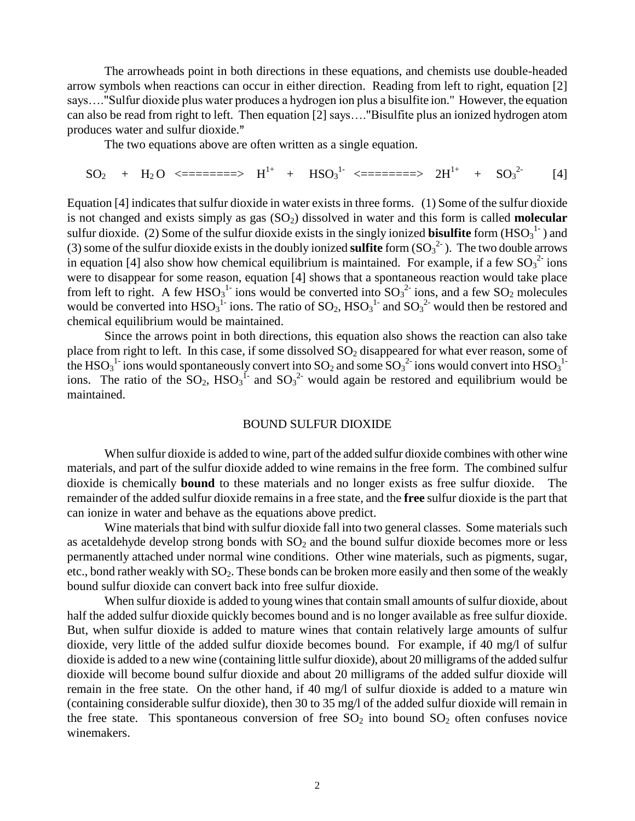The arrowheads point in both directions in these equations, and chemists use double-headed arrow symbols when reactions can occur in either direction. Reading from left to right, equation [2] says…."Sulfur dioxide plus water produces a hydrogen ion plus a bisulfite ion." However, the equation can also be read from right to left. Then equation [2] says…."Bisulfite plus an ionized hydrogen atom produces water and sulfur dioxide.

The two equations above are often written as a single equation.

$$
SO_2 + H_2O \le
$$
= $=$ = $=$   $H^{1+} + HSO_3^{1-} \le$ = $=$ = $=$   $2H^{1+} + SO_3^{2-}$  [4]

Equation [4] indicates that sulfur dioxide in water exists in three forms. (1) Some of the sulfur dioxide is not changed and exists simply as gas  $(SO<sub>2</sub>)$  dissolved in water and this form is called **molecular** sulfur dioxide. (2) Some of the sulfur dioxide exists in the singly ionized **bisulfite** form  $(HSO_3^{\{1\}})$  and (3) some of the sulfur dioxide exists in the doubly ionized **sulfite** form  $(SO_3^2)$ . The two double arrows in equation [4] also show how chemical equilibrium is maintained. For example, if a few  ${SO_3}^{2-}$  ions were to disappear for some reason, equation [4] shows that a spontaneous reaction would take place from left to right. A few  $HSO_3^1$  ions would be converted into  $SO_3^2$  ions, and a few  $SO_2$  molecules would be converted into  $HSO_3^{-1}$  ions. The ratio of  $SO_2$ ,  $HSO_3^{-1}$  and  $SO_3^{-2}$  would then be restored and chemical equilibrium would be maintained.

Since the arrows point in both directions, this equation also shows the reaction can also take place from right to left. In this case, if some dissolved  $SO_2$  disappeared for what ever reason, some of the HSO<sub>3</sub><sup>1</sup> ions would spontaneously convert into SO<sub>2</sub> and some SO<sub>3</sub><sup>2</sup> ions would convert into HSO<sub>3</sub><sup>1</sup> ions. The ratio of the  $SO_2$ , HSO<sub>3</sub><sup>1</sup> and  $SO_3^2$  would again be restored and equilibrium would be maintained.

## BOUND SULFUR DIOXIDE

When sulfur dioxide is added to wine, part of the added sulfur dioxide combines with other wine materials, and part of the sulfur dioxide added to wine remains in the free form. The combined sulfur dioxide is chemically **bound** to these materials and no longer exists as free sulfur dioxide. The remainder of the added sulfur dioxide remains in a free state, and the **free** sulfur dioxide is the part that can ionize in water and behave as the equations above predict.

Wine materials that bind with sulfur dioxide fall into two general classes. Some materials such as acetaldehyde develop strong bonds with  $SO<sub>2</sub>$  and the bound sulfur dioxide becomes more or less permanently attached under normal wine conditions. Other wine materials, such as pigments, sugar, etc., bond rather weakly with SO<sub>2</sub>. These bonds can be broken more easily and then some of the weakly bound sulfur dioxide can convert back into free sulfur dioxide.

 When sulfur dioxide is added to young wines that contain small amounts of sulfur dioxide, about half the added sulfur dioxide quickly becomes bound and is no longer available as free sulfur dioxide. But, when sulfur dioxide is added to mature wines that contain relatively large amounts of sulfur dioxide, very little of the added sulfur dioxide becomes bound. For example, if 40 mg/l of sulfur dioxide is added to a new wine (containing little sulfur dioxide), about 20 milligrams of the added sulfur dioxide will become bound sulfur dioxide and about 20 milligrams of the added sulfur dioxide will remain in the free state. On the other hand, if 40 mg/l of sulfur dioxide is added to a mature win (containing considerable sulfur dioxide), then 30 to 35 mg/l of the added sulfur dioxide will remain in the free state. This spontaneous conversion of free  $SO_2$  into bound  $SO_2$  often confuses novice winemakers.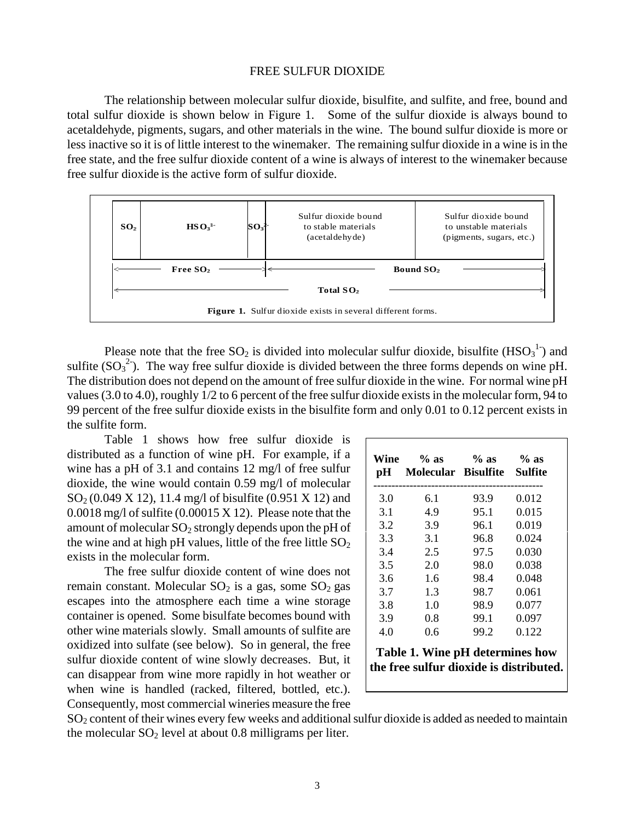#### FREE SULFUR DIOXIDE

The relationship between molecular sulfur dioxide, bisulfite, and sulfite, and free, bound and total sulfur dioxide is shown below in Figure 1. Some of the sulfur dioxide is always bound to acetaldehyde, pigments, sugars, and other materials in the wine. The bound sulfur dioxide is more or less inactive so it is of little interest to the winemaker. The remaining sulfur dioxide in a wine is in the free state, and the free sulfur dioxide content of a wine is always of interest to the winemaker because free sulfur dioxide is the active form of sulfur dioxide.



Please note that the free  $SO_2$  is divided into molecular sulfur dioxide, bisulfite  $(HSO_3^1)$  and sulfite  $(SO_3^2)$ . The way free sulfur dioxide is divided between the three forms depends on wine pH. The distribution does not depend on the amount of free sulfur dioxide in the wine. For normal wine pH values (3.0 to 4.0), roughly 1/2 to 6 percent of the free sulfur dioxide exists in the molecular form, 94 to 99 percent of the free sulfur dioxide exists in the bisulfite form and only 0.01 to 0.12 percent exists in the sulfite form.

Table 1 shows how free sulfur dioxide is distributed as a function of wine pH. For example, if a wine has a pH of 3.1 and contains 12 mg/l of free sulfur dioxide, the wine would contain 0.59 mg/l of molecular  $SO_2(0.049 \text{ X } 12)$ , 11.4 mg/l of bisulfite (0.951 X 12) and 0.0018 mg/l of sulfite (0.00015 X 12). Please note that the amount of molecular  $SO_2$  strongly depends upon the pH of the wine and at high pH values, little of the free little  $SO<sub>2</sub>$ exists in the molecular form.

The free sulfur dioxide content of wine does not remain constant. Molecular  $SO_2$  is a gas, some  $SO_2$  gas escapes into the atmosphere each time a wine storage container is opened. Some bisulfate becomes bound with other wine materials slowly. Small amounts of sulfite are oxidized into sulfate (see below). So in general, the free sulfur dioxide content of wine slowly decreases. But, it can disappear from wine more rapidly in hot weather or when wine is handled (racked, filtered, bottled, etc.). Consequently, most commercial wineries measure the free

| Wine<br>рH | $%$ as<br>Molecular Bisulfite | $%$ as | $%$ as<br>Sulfite |
|------------|-------------------------------|--------|-------------------|
| 3.0        | 6.1                           | 93.9   | 0.012             |
| 3.1        | 4.9                           | 95.1   | 0.015             |
| 3.2        | 3.9                           | 96.1   | 0.019             |
| 3.3        | 3.1                           | 96.8   | 0.024             |
| 3.4        | 2.5                           | 97.5   | 0.030             |
| 3.5        | 2.0                           | 98.0   | 0.038             |
| 3.6        | 1.6                           | 98.4   | 0.048             |
| 3.7        | 1.3                           | 98.7   | 0.061             |
| 3.8        | 1.0                           | 98.9   | 0.077             |
| 3.9        | 0.8                           | 99.1   | 0.097             |
| 4.0        | 0.6                           | 99.2   | 0.122             |

**Table 1. Wine pH determines how the free sulfur dioxide is distributed.**

SO<sup>2</sup> content of their wines every few weeks and additional sulfur dioxide is added as needed to maintain the molecular  $SO_2$  level at about 0.8 milligrams per liter.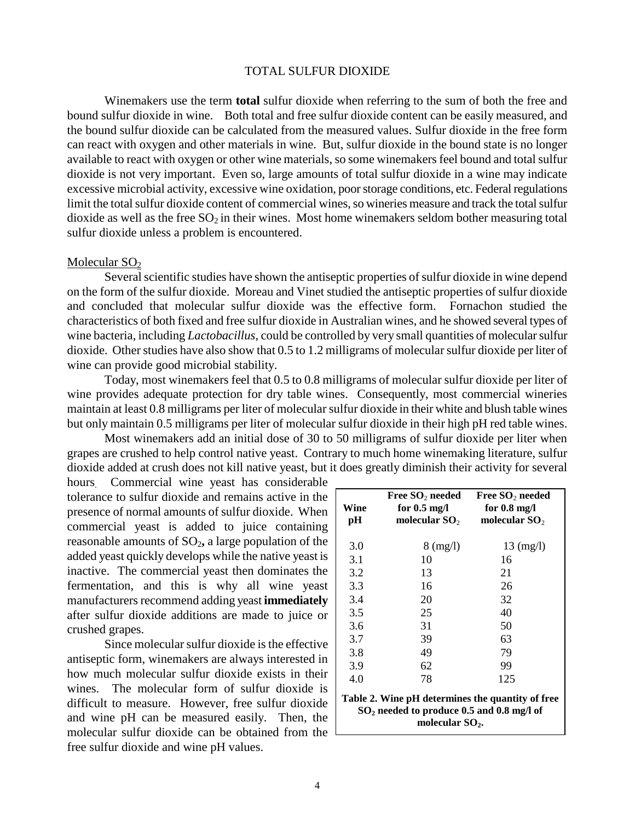## TOTAL SULFUR DIOXIDE

Winemakers use the term **total** sulfur dioxide when referring to the sum of both the free and bound sulfur dioxide in wine. Both total and free sulfur dioxide content can be easily measured, and the bound sulfur dioxide can be calculated from the measured values. Sulfur dioxide in the free form can react with oxygen and other materials in wine. But, sulfur dioxide in the bound state is no longer available to react with oxygen or other wine materials, so some winemakers feel bound and total sulfur dioxide is not very important. Even so, large amounts of total sulfur dioxide in a wine may indicate excessive microbial activity, excessive wine oxidation, poor storage conditions, etc. Federal regulations limit the total sulfur dioxide content of commercial wines, so wineries measure and track the total sulfur dioxide as well as the free  $SO_2$  in their wines. Most home winemakers seldom bother measuring total sulfur dioxide unless a problem is encountered.

#### Molecular  $SO<sub>2</sub>$

Several scientific studies have shown the antiseptic properties of sulfur dioxide in wine depend on the form of the sulfur dioxide. Moreau and Vinet studied the antiseptic properties of sulfur dioxide and concluded that molecular sulfur dioxide was the effective form. Fornachon studied the characteristics of both fixed and free sulfur dioxide in Australian wines, and he showed several types of wine bacteria, including *Lactobacillus*, could be controlled by very small quantities of molecular sulfur dioxide. Other studies have also show that 0.5 to 1.2 milligrams of molecular sulfur dioxide per liter of wine can provide good microbial stability.

Today, most winemakers feel that 0.5 to 0.8 milligrams of molecular sulfur dioxide per liter of wine provides adequate protection for dry table wines. Consequently, most commercial wineries maintain at least 0.8 milligrams per liter of molecular sulfur dioxide in their white and blush table wines but only maintain 0.5 milligrams per liter of molecular sulfur dioxide in their high pH red table wines.

Most winemakers add an initial dose of 30 to 50 milligrams of sulfur dioxide per liter when grapes are crushed to help control native yeast. Contrary to much home winemaking literature, sulfur dioxide added at crush does not kill native yeast, but it does greatly diminish their activity for several

hours. Commercial wine yeast has considerable tolerance to sulfur dioxide and remains active in the presence of normal amounts of sulfur dioxide. When commercial yeast is added to juice containing reasonable amounts of SO<sub>2</sub>, a large population of the added yeast quickly develops while the native yeast is inactive. The commercial yeast then dominates the fermentation, and this is why all wine yeast manufacturers recommend adding yeast **immediately** after sulfur dioxide additions are made to juice or crushed grapes.

Since molecular sulfur dioxide is the effective antiseptic form, winemakers are always interested in how much molecular sulfur dioxide exists in their wines. The molecular form of sulfur dioxide is difficult to measure. However, free sulfur dioxide and wine pH can be measured easily. Then, the molecular sulfur dioxide can be obtained from the free sulfur dioxide and wine pH values.

| Wine<br>pН                                                                                                | Free $\mathbf{SO}_2$ needed<br>for $0.5 \text{ mg/l}$<br>molecular $\mathrm{SO}_2$ | Free $SO_2$ needed<br>for $0.8 \text{ mg/l}$<br>molecular $SO2$ |  |  |
|-----------------------------------------------------------------------------------------------------------|------------------------------------------------------------------------------------|-----------------------------------------------------------------|--|--|
| 3.0                                                                                                       | $8 \text{ (mg/l)}$                                                                 | $13 \ (mg/l)$                                                   |  |  |
| 3.1                                                                                                       | 10                                                                                 | 16                                                              |  |  |
| 3.2                                                                                                       | 13                                                                                 | 21                                                              |  |  |
| 3.3                                                                                                       | 16                                                                                 | 26                                                              |  |  |
| 3.4                                                                                                       | 20                                                                                 | 32                                                              |  |  |
| 3.5                                                                                                       | 25                                                                                 | 40                                                              |  |  |
| 3.6                                                                                                       | 31                                                                                 | 50                                                              |  |  |
| 3.7                                                                                                       | 39                                                                                 | 63                                                              |  |  |
| 3.8                                                                                                       | 49                                                                                 | 79                                                              |  |  |
| 3.9                                                                                                       | 62                                                                                 | 99                                                              |  |  |
| 4.0                                                                                                       | 78                                                                                 | 125                                                             |  |  |
| Table 2. Wine pH determines the quantity of free<br>SO <sub>2</sub> needed to produce 0.5 and 0.8 mg/l of |                                                                                    |                                                                 |  |  |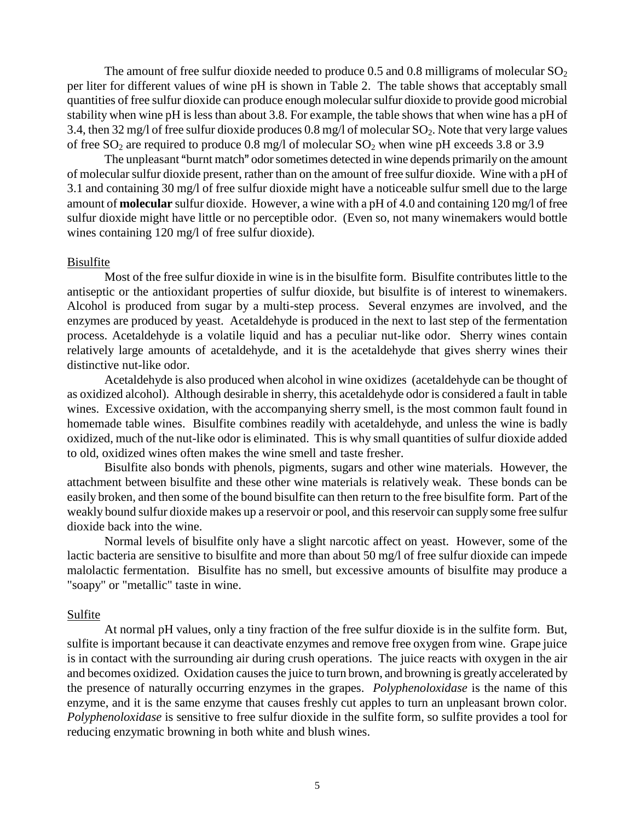The amount of free sulfur dioxide needed to produce 0.5 and 0.8 milligrams of molecular  $SO_2$ per liter for different values of wine pH is shown in Table 2. The table shows that acceptably small quantities of free sulfur dioxide can produce enough molecular sulfur dioxide to provide good microbial stability when wine pH is less than about 3.8. For example, the table shows that when wine has a pH of 3.4, then 32 mg/l of free sulfur dioxide produces 0.8 mg/l of molecular  $SO_2$ . Note that very large values of free  $SO_2$  are required to produce 0.8 mg/l of molecular  $SO_2$  when wine pH exceeds 3.8 or 3.9

The unpleasant "burnt match" odor sometimes detected in wine depends primarily on the amount of molecular sulfur dioxide present, rather than on the amount of free sulfur dioxide. Wine with a pH of 3.1 and containing 30 mg/l of free sulfur dioxide might have a noticeable sulfur smell due to the large amount of **molecular** sulfur dioxide. However, a wine with a pH of 4.0 and containing 120 mg/l of free sulfur dioxide might have little or no perceptible odor. (Even so, not many winemakers would bottle wines containing 120 mg/l of free sulfur dioxide).

## Bisulfite

Most of the free sulfur dioxide in wine is in the bisulfite form. Bisulfite contributes little to the antiseptic or the antioxidant properties of sulfur dioxide, but bisulfite is of interest to winemakers. Alcohol is produced from sugar by a multi-step process. Several enzymes are involved, and the enzymes are produced by yeast. Acetaldehyde is produced in the next to last step of the fermentation process. Acetaldehyde is a volatile liquid and has a peculiar nut-like odor. Sherry wines contain relatively large amounts of acetaldehyde, and it is the acetaldehyde that gives sherry wines their distinctive nut-like odor.

Acetaldehyde is also produced when alcohol in wine oxidizes (acetaldehyde can be thought of as oxidized alcohol). Although desirable in sherry, this acetaldehyde odor is considered a fault in table wines. Excessive oxidation, with the accompanying sherry smell, is the most common fault found in homemade table wines. Bisulfite combines readily with acetaldehyde, and unless the wine is badly oxidized, much of the nut-like odor is eliminated. This is why small quantities of sulfur dioxide added to old, oxidized wines often makes the wine smell and taste fresher.

Bisulfite also bonds with phenols, pigments, sugars and other wine materials. However, the attachment between bisulfite and these other wine materials is relatively weak. These bonds can be easily broken, and then some of the bound bisulfite can then return to the free bisulfite form. Part of the weakly bound sulfur dioxide makes up a reservoir or pool, and this reservoir can supply some free sulfur dioxide back into the wine.

Normal levels of bisulfite only have a slight narcotic affect on yeast. However, some of the lactic bacteria are sensitive to bisulfite and more than about 50 mg/l of free sulfur dioxide can impede malolactic fermentation. Bisulfite has no smell, but excessive amounts of bisulfite may produce a "soapy" or "metallic" taste in wine.

## Sulfite

At normal pH values, only a tiny fraction of the free sulfur dioxide is in the sulfite form. But, sulfite is important because it can deactivate enzymes and remove free oxygen from wine. Grape juice is in contact with the surrounding air during crush operations. The juice reacts with oxygen in the air and becomes oxidized. Oxidation causes the juice to turn brown, and browning is greatly accelerated by the presence of naturally occurring enzymes in the grapes. *Polyphenoloxidase* is the name of this enzyme, and it is the same enzyme that causes freshly cut apples to turn an unpleasant brown color. *Polyphenoloxidase* is sensitive to free sulfur dioxide in the sulfite form, so sulfite provides a tool for reducing enzymatic browning in both white and blush wines.